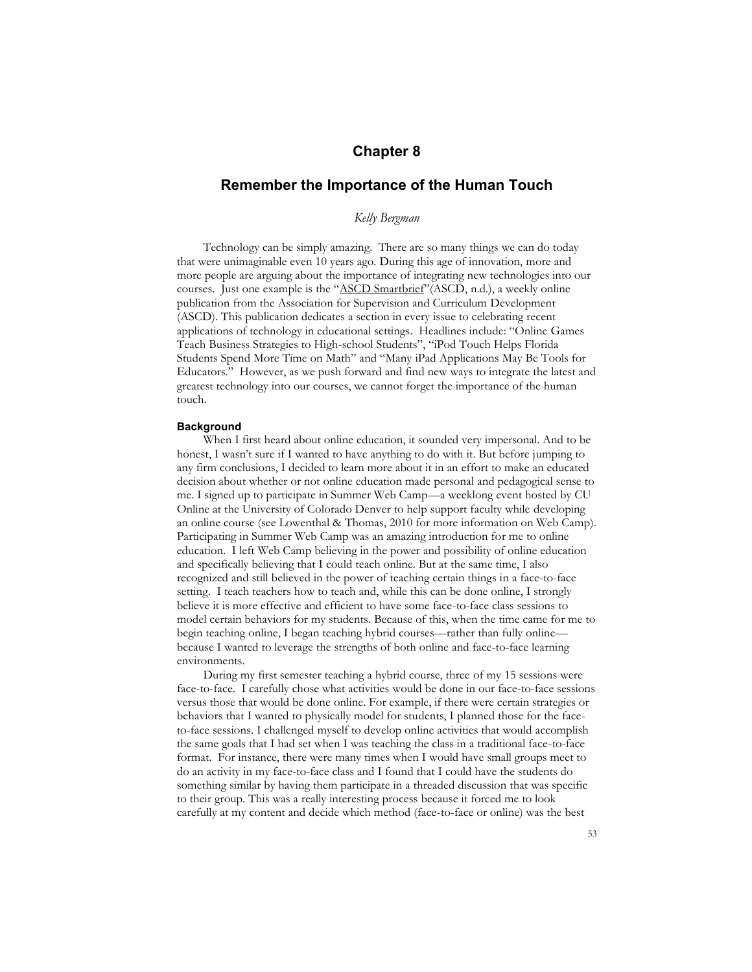# **Chapter 8**

# **Remember the Importance of the Human Touch**

*Kelly Bergman* 

Technology can be simply amazing. There are so many things we can do today that were unimaginable even 10 years ago. During this age of innovation, more and more people are arguing about the importance of integrating new technologies into our courses. Just one example is the "ASCD Smartbrief"(ASCD, n.d.), a weekly online publication from the Association for Supervision and Curriculum Development (ASCD). This publication dedicates a section in every issue to celebrating recent applications of technology in educational settings. Headlines include: "Online Games Teach Business Strategies to High-school Students", "iPod Touch Helps Florida Students Spend More Time on Math" and "Many iPad Applications May Be Tools for Educators." However, as we push forward and find new ways to integrate the latest and greatest technology into our courses, we cannot forget the importance of the human touch.

#### **Background**

When I first heard about online education, it sounded very impersonal. And to be honest, I wasn't sure if I wanted to have anything to do with it. But before jumping to any firm conclusions, I decided to learn more about it in an effort to make an educated decision about whether or not online education made personal and pedagogical sense to me. I signed up to participate in Summer Web Camp—a weeklong event hosted by CU Online at the University of Colorado Denver to help support faculty while developing an online course (see Lowenthal & Thomas, 2010 for more information on Web Camp). Participating in Summer Web Camp was an amazing introduction for me to online education. I left Web Camp believing in the power and possibility of online education and specifically believing that I could teach online. But at the same time, I also recognized and still believed in the power of teaching certain things in a face-to-face setting. I teach teachers how to teach and, while this can be done online, I strongly believe it is more effective and efficient to have some face-to-face class sessions to model certain behaviors for my students. Because of this, when the time came for me to begin teaching online, I began teaching hybrid courses—rather than fully online because I wanted to leverage the strengths of both online and face-to-face learning environments.

During my first semester teaching a hybrid course, three of my 15 sessions were face-to-face. I carefully chose what activities would be done in our face-to-face sessions versus those that would be done online. For example, if there were certain strategies or behaviors that I wanted to physically model for students, I planned those for the faceto-face sessions. I challenged myself to develop online activities that would accomplish the same goals that I had set when I was teaching the class in a traditional face-to-face format. For instance, there were many times when I would have small groups meet to do an activity in my face-to-face class and I found that I could have the students do something similar by having them participate in a threaded discussion that was specific to their group. This was a really interesting process because it forced me to look carefully at my content and decide which method (face-to-face or online) was the best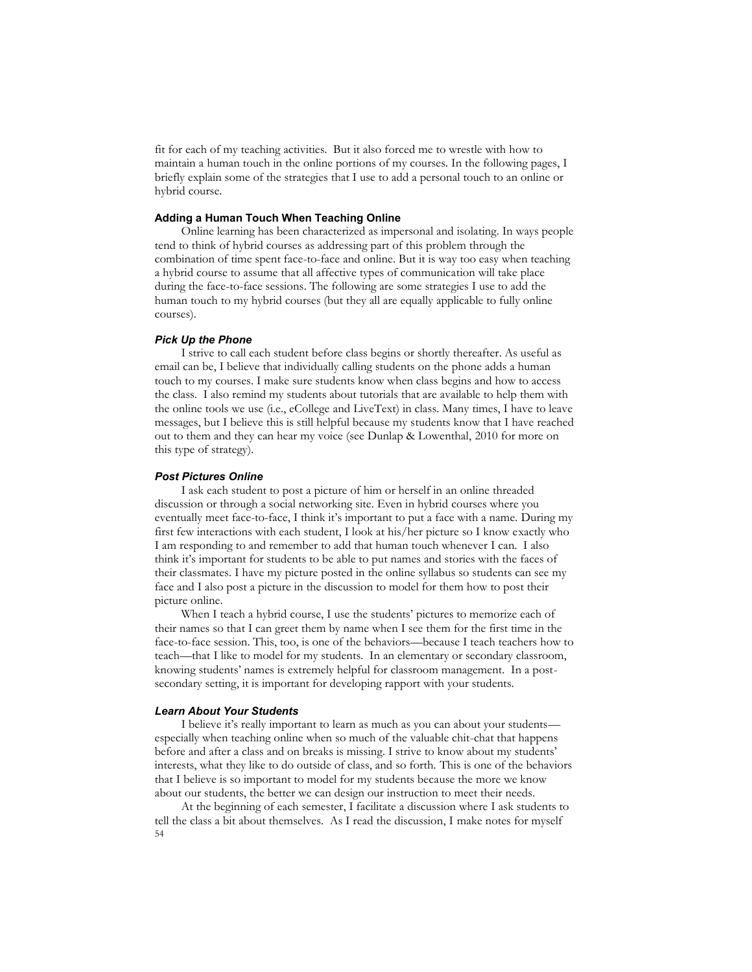fit for each of my teaching activities. But it also forced me to wrestle with how to maintain a human touch in the online portions of my courses. In the following pages, I briefly explain some of the strategies that I use to add a personal touch to an online or hybrid course.

# **Adding a Human Touch When Teaching Online**

Online learning has been characterized as impersonal and isolating. In ways people tend to think of hybrid courses as addressing part of this problem through the combination of time spent face-to-face and online. But it is way too easy when teaching a hybrid course to assume that all affective types of communication will take place during the face-to-face sessions. The following are some strategies I use to add the human touch to my hybrid courses (but they all are equally applicable to fully online courses).

# *Pick Up the Phone*

I strive to call each student before class begins or shortly thereafter. As useful as email can be, I believe that individually calling students on the phone adds a human touch to my courses. I make sure students know when class begins and how to access the class. I also remind my students about tutorials that are available to help them with the online tools we use (i.e., eCollege and LiveText) in class. Many times, I have to leave messages, but I believe this is still helpful because my students know that I have reached out to them and they can hear my voice (see Dunlap & Lowenthal, 2010 for more on this type of strategy).

# *Post Pictures Online*

I ask each student to post a picture of him or herself in an online threaded discussion or through a social networking site. Even in hybrid courses where you eventually meet face-to-face, I think it's important to put a face with a name. During my first few interactions with each student, I look at his/her picture so I know exactly who I am responding to and remember to add that human touch whenever I can. I also think it's important for students to be able to put names and stories with the faces of their classmates. I have my picture posted in the online syllabus so students can see my face and I also post a picture in the discussion to model for them how to post their picture online.

When I teach a hybrid course, I use the students' pictures to memorize each of their names so that I can greet them by name when I see them for the first time in the face-to-face session. This, too, is one of the behaviors—because I teach teachers how to teach—that I like to model for my students. In an elementary or secondary classroom, knowing students' names is extremely helpful for classroom management. In a postsecondary setting, it is important for developing rapport with your students.

### *Learn About Your Students*

I believe it's really important to learn as much as you can about your students especially when teaching online when so much of the valuable chit-chat that happens before and after a class and on breaks is missing. I strive to know about my students' interests, what they like to do outside of class, and so forth. This is one of the behaviors that I believe is so important to model for my students because the more we know about our students, the better we can design our instruction to meet their needs.

54 At the beginning of each semester, I facilitate a discussion where I ask students to tell the class a bit about themselves. As I read the discussion, I make notes for myself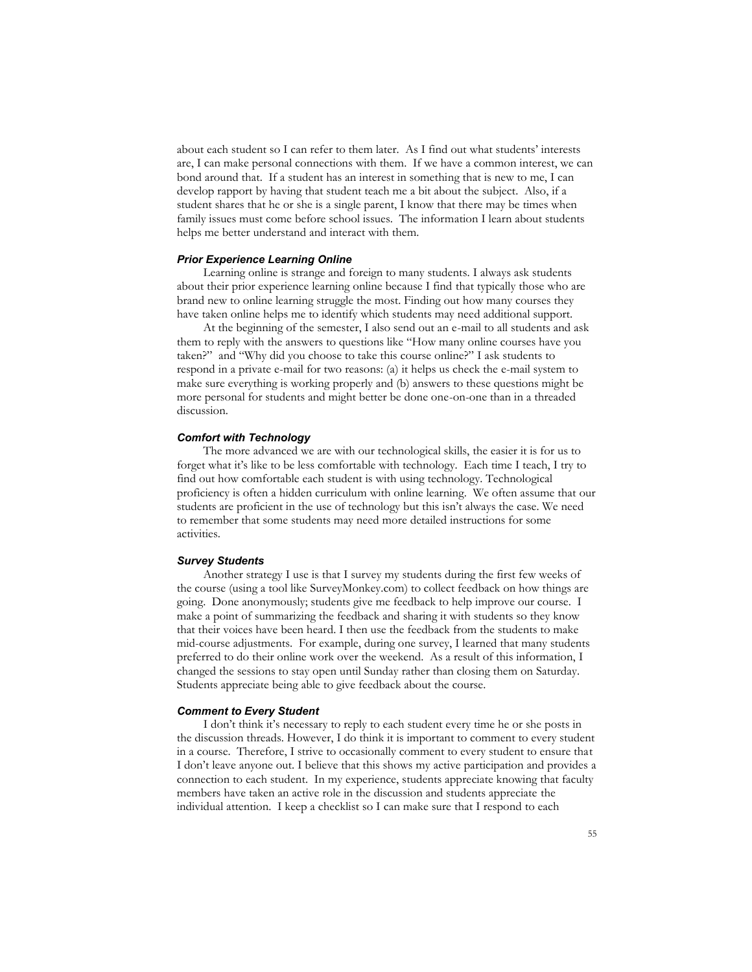about each student so I can refer to them later. As I find out what students' interests are, I can make personal connections with them. If we have a common interest, we can bond around that. If a student has an interest in something that is new to me, I can develop rapport by having that student teach me a bit about the subject. Also, if a student shares that he or she is a single parent, I know that there may be times when family issues must come before school issues. The information I learn about students helps me better understand and interact with them.

#### *Prior Experience Learning Online*

Learning online is strange and foreign to many students. I always ask students about their prior experience learning online because I find that typically those who are brand new to online learning struggle the most. Finding out how many courses they have taken online helps me to identify which students may need additional support.

At the beginning of the semester, I also send out an e-mail to all students and ask them to reply with the answers to questions like "How many online courses have you taken?" and "Why did you choose to take this course online?" I ask students to respond in a private e-mail for two reasons: (a) it helps us check the e-mail system to make sure everything is working properly and (b) answers to these questions might be more personal for students and might better be done one-on-one than in a threaded discussion.

# *Comfort with Technology*

The more advanced we are with our technological skills, the easier it is for us to forget what it's like to be less comfortable with technology. Each time I teach, I try to find out how comfortable each student is with using technology. Technological proficiency is often a hidden curriculum with online learning. We often assume that our students are proficient in the use of technology but this isn't always the case. We need to remember that some students may need more detailed instructions for some activities.

# *Survey Students*

Another strategy I use is that I survey my students during the first few weeks of the course (using a tool like SurveyMonkey.com) to collect feedback on how things are going. Done anonymously; students give me feedback to help improve our course. I make a point of summarizing the feedback and sharing it with students so they know that their voices have been heard. I then use the feedback from the students to make mid-course adjustments. For example, during one survey, I learned that many students preferred to do their online work over the weekend. As a result of this information, I changed the sessions to stay open until Sunday rather than closing them on Saturday. Students appreciate being able to give feedback about the course.

#### *Comment to Every Student*

I don't think it's necessary to reply to each student every time he or she posts in the discussion threads. However, I do think it is important to comment to every student in a course. Therefore, I strive to occasionally comment to every student to ensure that I don't leave anyone out. I believe that this shows my active participation and provides a connection to each student. In my experience, students appreciate knowing that faculty members have taken an active role in the discussion and students appreciate the individual attention. I keep a checklist so I can make sure that I respond to each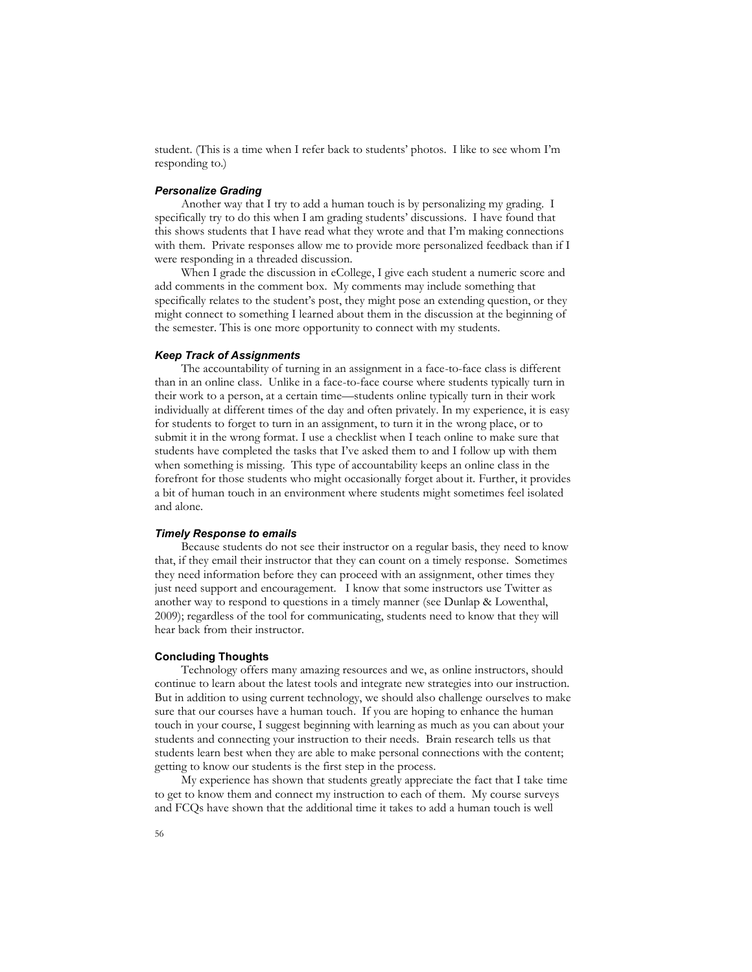student. (This is a time when I refer back to students' photos. I like to see whom I'm responding to.)

### *Personalize Grading*

Another way that I try to add a human touch is by personalizing my grading. I specifically try to do this when I am grading students' discussions. I have found that this shows students that I have read what they wrote and that I'm making connections with them. Private responses allow me to provide more personalized feedback than if I were responding in a threaded discussion.

When I grade the discussion in eCollege, I give each student a numeric score and add comments in the comment box. My comments may include something that specifically relates to the student's post, they might pose an extending question, or they might connect to something I learned about them in the discussion at the beginning of the semester. This is one more opportunity to connect with my students.

### *Keep Track of Assignments*

The accountability of turning in an assignment in a face-to-face class is different than in an online class. Unlike in a face-to-face course where students typically turn in their work to a person, at a certain time—students online typically turn in their work individually at different times of the day and often privately. In my experience, it is easy for students to forget to turn in an assignment, to turn it in the wrong place, or to submit it in the wrong format. I use a checklist when I teach online to make sure that students have completed the tasks that I've asked them to and I follow up with them when something is missing. This type of accountability keeps an online class in the forefront for those students who might occasionally forget about it. Further, it provides a bit of human touch in an environment where students might sometimes feel isolated and alone.

# *Timely Response to emails*

Because students do not see their instructor on a regular basis, they need to know that, if they email their instructor that they can count on a timely response. Sometimes they need information before they can proceed with an assignment, other times they just need support and encouragement. I know that some instructors use Twitter as another way to respond to questions in a timely manner (see Dunlap & Lowenthal, 2009); regardless of the tool for communicating, students need to know that they will hear back from their instructor.

### **Concluding Thoughts**

Technology offers many amazing resources and we, as online instructors, should continue to learn about the latest tools and integrate new strategies into our instruction. But in addition to using current technology, we should also challenge ourselves to make sure that our courses have a human touch. If you are hoping to enhance the human touch in your course, I suggest beginning with learning as much as you can about your students and connecting your instruction to their needs. Brain research tells us that students learn best when they are able to make personal connections with the content; getting to know our students is the first step in the process.

My experience has shown that students greatly appreciate the fact that I take time to get to know them and connect my instruction to each of them. My course surveys and FCQs have shown that the additional time it takes to add a human touch is well